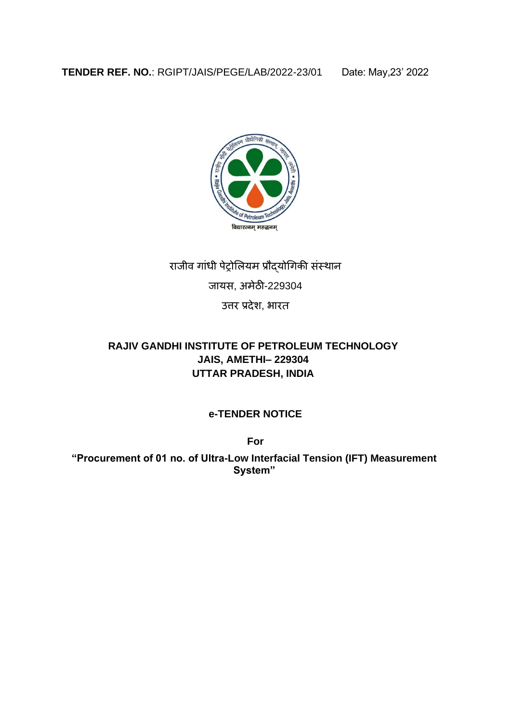

# राजीव गांधी पेट्रोलियम प्रौद्योगिकी संस्थान

## जायस, अमेठी-229304

उत्तर प्रदेश, भारत

## **RAJIV GANDHI INSTITUTE OF PETROLEUM TECHNOLOGY JAIS, AMETHI– 229304 UTTAR PRADESH, INDIA**

## **e-TENDER NOTICE**

**For** 

**"Procurement of 01 no. of Ultra-Low Interfacial Tension (IFT) Measurement System"**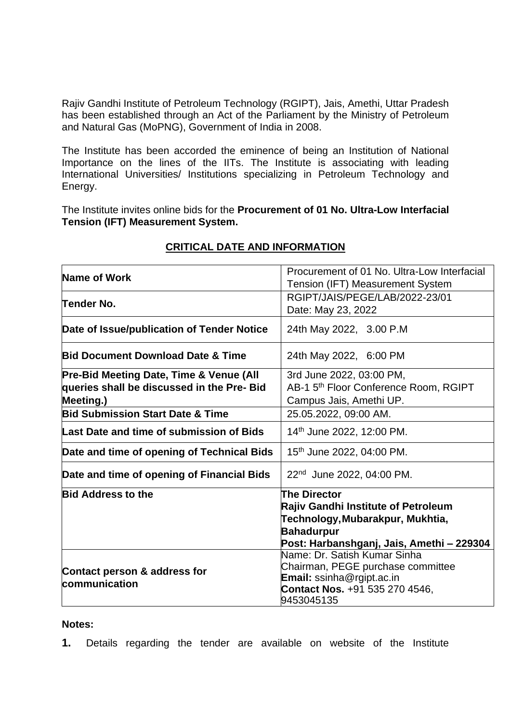Rajiv Gandhi Institute of Petroleum Technology (RGIPT), Jais, Amethi, Uttar Pradesh has been established through an Act of the Parliament by the Ministry of Petroleum and Natural Gas (MoPNG), Government of India in 2008.

The Institute has been accorded the eminence of being an Institution of National Importance on the lines of the IITs. The Institute is associating with leading International Universities/ Institutions specializing in Petroleum Technology and Energy.

The Institute invites online bids for the **Procurement of 01 No. Ultra-Low Interfacial Tension (IFT) Measurement System.**

| Name of Work                                                                                       | Procurement of 01 No. Ultra-Low Interfacial<br>Tension (IFT) Measurement System                                                                                  |
|----------------------------------------------------------------------------------------------------|------------------------------------------------------------------------------------------------------------------------------------------------------------------|
| Tender No.                                                                                         | RGIPT/JAIS/PEGE/LAB/2022-23/01<br>Date: May 23, 2022                                                                                                             |
| Date of Issue/publication of Tender Notice                                                         | 24th May 2022, 3.00 P.M                                                                                                                                          |
| <b>Bid Document Download Date &amp; Time</b>                                                       | 24th May 2022, 6:00 PM                                                                                                                                           |
| Pre-Bid Meeting Date, Time & Venue (All<br>queries shall be discussed in the Pre- Bid<br>Meeting.) | 3rd June 2022, 03:00 PM,<br>AB-1 5 <sup>th</sup> Floor Conference Room, RGIPT<br>Campus Jais, Amethi UP.                                                         |
| <b>Bid Submission Start Date &amp; Time</b>                                                        | 25.05.2022, 09:00 AM.                                                                                                                                            |
| Last Date and time of submission of Bids                                                           | 14th June 2022, 12:00 PM.                                                                                                                                        |
| Date and time of opening of Technical Bids                                                         | 15th June 2022, 04:00 PM.                                                                                                                                        |
| Date and time of opening of Financial Bids                                                         | 22 <sup>nd</sup> June 2022, 04:00 PM.                                                                                                                            |
| <b>Bid Address to the</b>                                                                          | <b>The Director</b><br>Rajiv Gandhi Institute of Petroleum<br>Technology, Mubarakpur, Mukhtia,<br><b>Bahadurpur</b><br>Post: Harbanshganj, Jais, Amethi - 229304 |
| Contact person & address for<br>communication                                                      | Name: Dr. Satish Kumar Sinha<br>Chairman, PEGE purchase committee<br><b>Email:</b> ssinha@rgipt.ac.in<br>Contact Nos. +91 535 270 4546,<br>9453045135            |

### **CRITICAL DATE AND INFORMATION**

#### **Notes:**

**1.** Details regarding the tender are available on website of the Institute